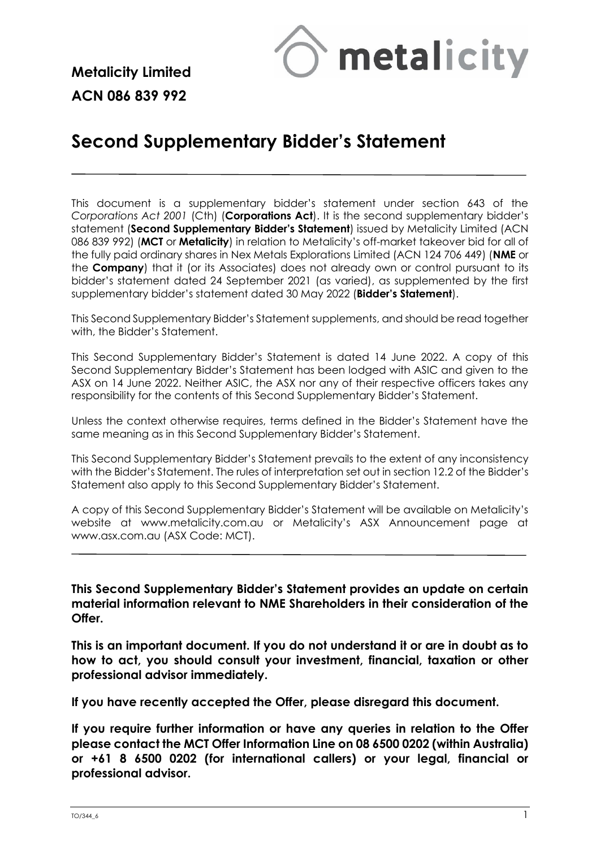

**Metalicity Limited ACN 086 839 992**

# **Second Supplementary Bidder's Statement**

This document is a supplementary bidder's statement under section 643 of the *Corporations Act 2001* (Cth) (**Corporations Act**). It is the second supplementary bidder's statement (**Second Supplementary Bidder's Statement**) issued by Metalicity Limited (ACN 086 839 992) (**MCT** or **Metalicity**) in relation to Metalicity's off-market takeover bid for all of the fully paid ordinary shares in Nex Metals Explorations Limited (ACN 124 706 449) (**NME** or the **Company**) that it (or its Associates) does not already own or control pursuant to its bidder's statement dated 24 September 2021 (as varied), as supplemented by the first supplementary bidder's statement dated 30 May 2022 (**Bidder's Statement**).

This Second Supplementary Bidder's Statement supplements, and should be read together with, the Bidder's Statement.

This Second Supplementary Bidder's Statement is dated 14 June 2022. A copy of this Second Supplementary Bidder's Statement has been lodged with ASIC and given to the ASX on 14 June 2022. Neither ASIC, the ASX nor any of their respective officers takes any responsibility for the contents of this Second Supplementary Bidder's Statement.

Unless the context otherwise requires, terms defined in the Bidder's Statement have the same meaning as in this Second Supplementary Bidder's Statement.

This Second Supplementary Bidder's Statement prevails to the extent of any inconsistency with the Bidder's Statement. The rules of interpretation set out in section 12.2 of the Bidder's Statement also apply to this Second Supplementary Bidder's Statement.

A copy of this Second Supplementary Bidder's Statement will be available on Metalicity's website at [www.metalicity.com.au](http://www.metalicity.com.au/) or Metalicity's ASX Announcement page at [www.asx.com.au](http://www.asx.com.au/) (ASX Code: MCT).

**This Second Supplementary Bidder's Statement provides an update on certain material information relevant to NME Shareholders in their consideration of the Offer.**

**This is an important document. If you do not understand it or are in doubt as to how to act, you should consult your investment, financial, taxation or other professional advisor immediately.**

**If you have recently accepted the Offer, please disregard this document.**

**If you require further information or have any queries in relation to the Offer please contact the MCT Offer Information Line on 08 6500 0202 (within Australia) or +61 8 6500 0202 (for international callers) or your legal, financial or professional advisor.**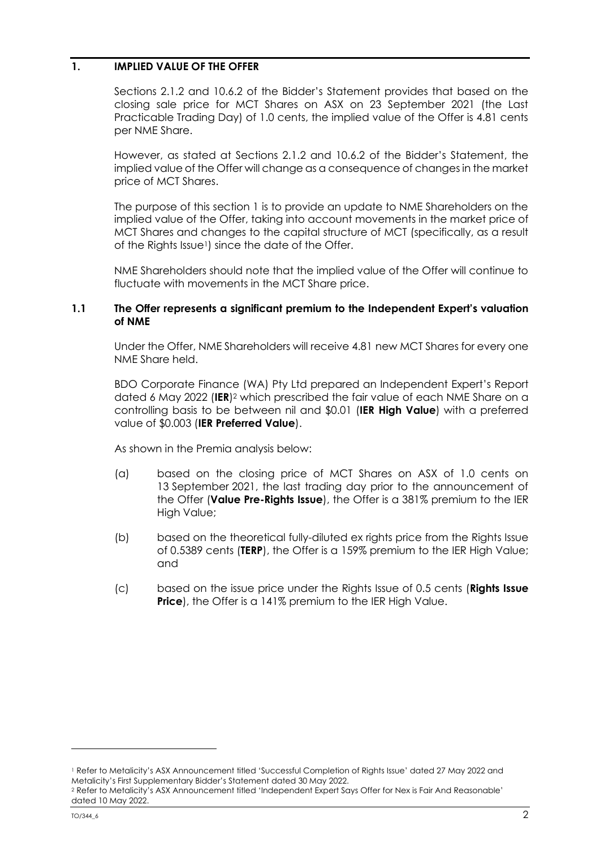## **1. IMPLIED VALUE OF THE OFFER**

Sections 2.1.2 and 10.6.2 of the Bidder's Statement provides that based on the closing sale price for MCT Shares on ASX on 23 September 2021 (the Last Practicable Trading Day) of 1.0 cents, the implied value of the Offer is 4.81 cents per NME Share.

However, as stated at Sections 2.1.2 and 10.6.2 of the Bidder's Statement, the implied value of the Offer will change as a consequence of changes in the market price of MCT Shares.

The purpose of this section 1 is to provide an update to NME Shareholders on the implied value of the Offer, taking into account movements in the market price of MCT Shares and changes to the capital structure of MCT (specifically, as a result of the Rights Issue<sup>1</sup>) since the date of the Offer.

NME Shareholders should note that the implied value of the Offer will continue to fluctuate with movements in the MCT Share price.

### **1.1 The Offer represents a significant premium to the Independent Expert's valuation of NME**

Under the Offer, NME Shareholders will receive 4.81 new MCT Shares for every one NME Share held.

BDO Corporate Finance (WA) Pty Ltd prepared an Independent Expert's Report dated 6 May 2022 (**IER**) <sup>2</sup> which prescribed the fair value of each NME Share on a controlling basis to be between nil and \$0.01 (**IER High Value**) with a preferred value of \$0.003 (**IER Preferred Value**).

As shown in the Premia analysis below:

- (a) based on the closing price of MCT Shares on ASX of 1.0 cents on 13 September 2021, the last trading day prior to the announcement of the Offer (**Value Pre-Rights Issue**), the Offer is a 381% premium to the IER High Value;
- (b) based on the theoretical fully-diluted ex rights price from the Rights Issue of 0.5389 cents (**TERP**), the Offer is a 159% premium to the IER High Value; and
- (c) based on the issue price under the Rights Issue of 0.5 cents (**Rights Issue Price**), the Offer is a 141% premium to the IER High Value.

<sup>1</sup> Refer to Metalicity's ASX Announcement titled 'Successful Completion of Rights Issue' dated 27 May 2022 and Metalicity's First Supplementary Bidder's Statement dated 30 May 2022.

<sup>2</sup> Refer to Metalicity's ASX Announcement titled 'Independent Expert Says Offer for Nex is Fair And Reasonable' dated 10 May 2022.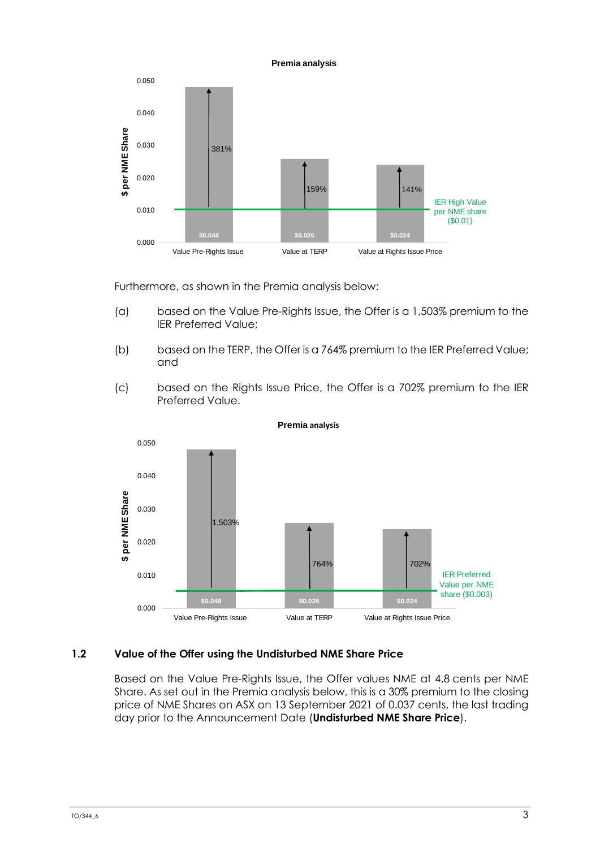

Furthermore, as shown in the Premia analysis below:

- (a) based on the Value Pre-Rights Issue, the Offer is a 1,503% premium to the IER Preferred Value;
- (b) based on the TERP, the Offer is a 764% premium to the IER Preferred Value; and
- (c) based on the Rights Issue Price, the Offer is a 702% premium to the IER Preferred Value.



**Premia analysis**

## **1.2 Value of the Offer using the Undisturbed NME Share Price**

Based on the Value Pre-Rights Issue, the Offer values NME at 4.8 cents per NME Share. As set out in the Premia analysis below, this is a 30% premium to the closing price of NME Shares on ASX on 13 September 2021 of 0.037 cents, the last trading day prior to the Announcement Date (**Undisturbed NME Share Price**).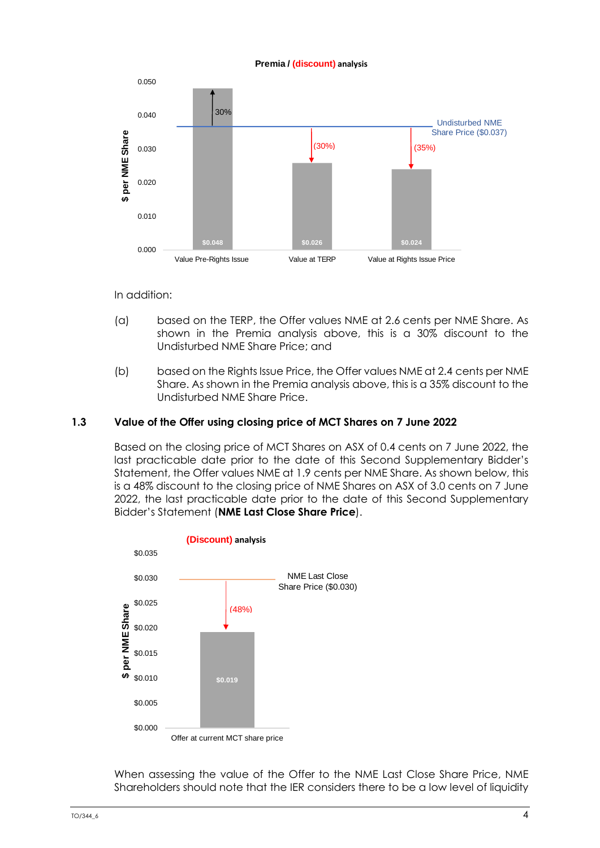#### **Premia / (discount) analysis**



In addition:

- (a) based on the TERP, the Offer values NME at 2.6 cents per NME Share. As shown in the Premia analysis above, this is a 30% discount to the Undisturbed NME Share Price; and
- (b) based on the Rights Issue Price, the Offer values NME at 2.4 cents per NME Share. As shown in the Premia analysis above, this is a 35% discount to the Undisturbed NME Share Price.

## **1.3 Value of the Offer using closing price of MCT Shares on 7 June 2022**

Based on the closing price of MCT Shares on ASX of 0.4 cents on 7 June 2022, the last practicable date prior to the date of this Second Supplementary Bidder's Statement, the Offer values NME at 1.9 cents per NME Share. As shown below, this is a 48% discount to the closing price of NME Shares on ASX of 3.0 cents on 7 June 2022, the last practicable date prior to the date of this Second Supplementary Bidder's Statement (**NME Last Close Share Price**).



When assessing the value of the Offer to the NME Last Close Share Price, NME Shareholders should note that the IER considers there to be a low level of liquidity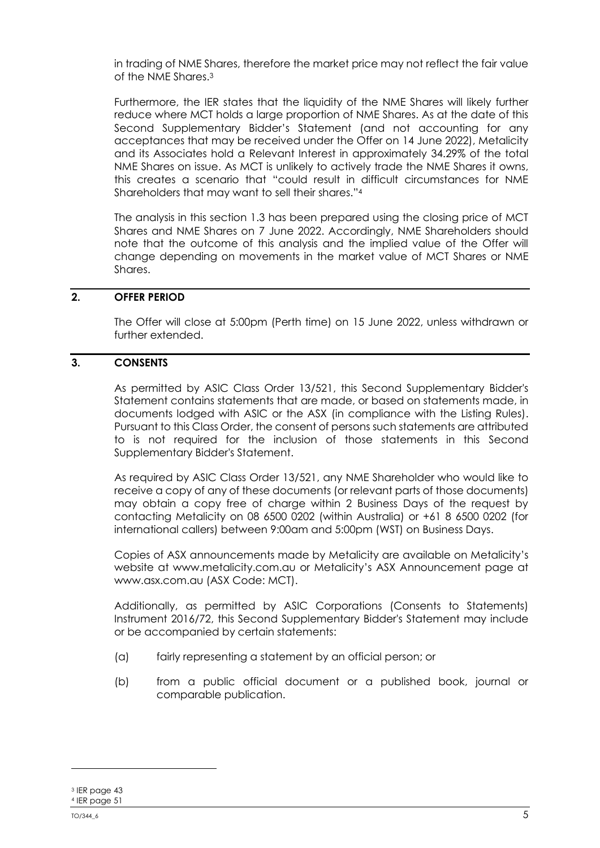in trading of NME Shares, therefore the market price may not reflect the fair value of the NME Shares. 3

Furthermore, the IER states that the liquidity of the NME Shares will likely further reduce where MCT holds a large proportion of NME Shares. As at the date of this Second Supplementary Bidder's Statement (and not accounting for any acceptances that may be received under the Offer on 14 June 2022), Metalicity and its Associates hold a Relevant Interest in approximately 34.29% of the total NME Shares on issue. As MCT is unlikely to actively trade the NME Shares it owns, this creates a scenario that "could result in difficult circumstances for NME Shareholders that may want to sell their shares."<sup>4</sup>

The analysis in this section 1.3 has been prepared using the closing price of MCT Shares and NME Shares on 7 June 2022. Accordingly, NME Shareholders should note that the outcome of this analysis and the implied value of the Offer will change depending on movements in the market value of MCT Shares or NME Shares.

# **2. OFFER PERIOD**

The Offer will close at 5:00pm (Perth time) on 15 June 2022, unless withdrawn or further extended.

# **3. CONSENTS**

As permitted by ASIC Class Order 13/521, this Second Supplementary Bidder's Statement contains statements that are made, or based on statements made, in documents lodged with ASIC or the ASX (in compliance with the Listing Rules). Pursuant to this Class Order, the consent of persons such statements are attributed to is not required for the inclusion of those statements in this Second Supplementary Bidder's Statement.

As required by ASIC Class Order 13/521, any NME Shareholder who would like to receive a copy of any of these documents (or relevant parts of those documents) may obtain a copy free of charge within 2 Business Days of the request by contacting Metalicity on 08 6500 0202 (within Australia) or +61 8 6500 0202 (for international callers) between 9:00am and 5:00pm (WST) on Business Days.

Copies of ASX announcements made by Metalicity are available on Metalicity's website at [www.metalicity.com.au](http://www.metalicity.com.au/) or Metalicity's ASX Announcement page at www.asx.com.au (ASX Code: MCT).

Additionally, as permitted by ASIC Corporations (Consents to Statements) Instrument 2016/72, this Second Supplementary Bidder's Statement may include or be accompanied by certain statements:

- (a) fairly representing a statement by an official person; or
- (b) from a public official document or a published book, journal or comparable publication.

<sup>3</sup> IER page 43 <sup>4</sup> IER page 51